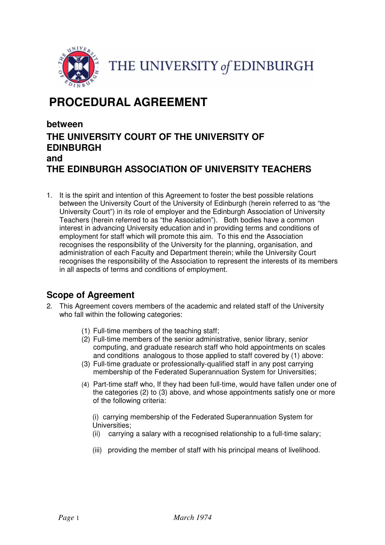

THE UNIVERSITY of EDINBURGH

# PROCEDURAL AGREEMENT

# between THE UNIVERSITY COURT OF THE UNIVERSITY OF EDINBURGH and THE EDINBURGH ASSOCIATION OF UNIVERSITY TEACHERS

1. It is the spirit and intention of this Agreement to foster the best possible relations between the University Court of the University of Edinburgh (herein referred to as "the University Court") in its role of employer and the Edinburgh Association of University Teachers (herein referred to as "the Association"). Both bodies have a common interest in advancing University education and in providing terms and conditions of employment for staff which will promote this aim. To this end the Association recognises the responsibility of the University for the planning, organisation, and administration of each Faculty and Department therein; while the University Court recognises the responsibility of the Association to represent the interests of its members in all aspects of terms and conditions of employment.

# Scope of Agreement

- 2. This Agreement covers members of the academic and related staff of the University who fall within the following categories:
	- (1) Full-time members of the teaching staff;
	- (2) Full-time members of the senior administrative, senior library, senior computing, and graduate research staff who hold appointments on scales and conditions analogous to those applied to staff covered by (1) above:
	- (3) Full-time graduate or professionally-qualified staff in any post carrying membership of the Federated Superannuation System for Universities;
	- (4) Part-time staff who, If they had been full-time, would have fallen under one of the categories (2) to (3) above, and whose appointments satisfy one or more of the following criteria:

(i) carrying membership of the Federated Superannuation System for Universities;

- (ii) carrying a salary with a recognised relationship to a full-time salary;
- (iii) providing the member of staff with his principal means of livelihood.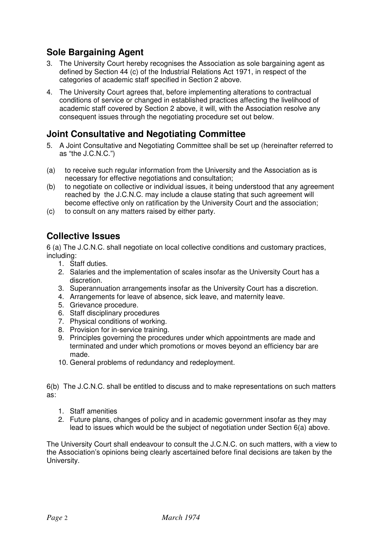# Sole Bargaining Agent

- 3. The University Court hereby recognises the Association as sole bargaining agent as defined by Section 44 (c) of the Industrial Relations Act 1971, in respect of the categories of academic staff specified in Section 2 above.
- 4. The University Court agrees that, before implementing alterations to contractual conditions of service or changed in established practices affecting the livelihood of academic staff covered by Section 2 above, it will, with the Association resolve any consequent issues through the negotiating procedure set out below.

#### Joint Consultative and Negotiating Committee

- 5. A Joint Consultative and Negotiating Committee shall be set up (hereinafter referred to as "the J.C.N.C.")
- (a) to receive such regular information from the University and the Association as is necessary for effective negotiations and consultation;
- (b) to negotiate on collective or individual issues, it being understood that any agreement reached by the J.C.N.C. may include a clause stating that such agreement will become effective only on ratification by the University Court and the association;
- (c) to consult on any matters raised by either party.

# Collective Issues

6 (a) The J.C.N.C. shall negotiate on local collective conditions and customary practices, including:

- 1. Staff duties.
- 2. Salaries and the implementation of scales insofar as the University Court has a discretion.
- 3. Superannuation arrangements insofar as the University Court has a discretion.
- 4. Arrangements for leave of absence, sick leave, and maternity leave.
- 5. Grievance procedure.
- 6. Staff disciplinary procedures
- 7. Physical conditions of working.
- 8. Provision for in-service training.
- 9. Principles governing the procedures under which appointments are made and terminated and under which promotions or moves beyond an efficiency bar are made.
- 10. General problems of redundancy and redeployment.

6(b) The J.C.N.C. shall be entitled to discuss and to make representations on such matters as:

- 1. Staff amenities
- 2. Future plans, changes of policy and in academic government insofar as they may lead to issues which would be the subject of negotiation under Section 6(a) above.

The University Court shall endeavour to consult the J.C.N.C. on such matters, with a view to the Association's opinions being clearly ascertained before final decisions are taken by the University.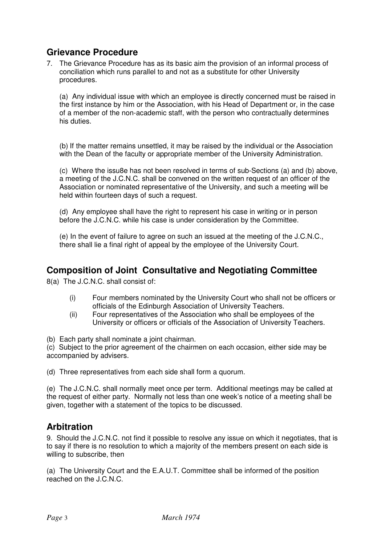# Grievance Procedure

7. The Grievance Procedure has as its basic aim the provision of an informal process of conciliation which runs parallel to and not as a substitute for other University procedures.

(a) Any individual issue with which an employee is directly concerned must be raised in the first instance by him or the Association, with his Head of Department or, in the case of a member of the non-academic staff, with the person who contractually determines his duties.

(b) If the matter remains unsettled, it may be raised by the individual or the Association with the Dean of the faculty or appropriate member of the University Administration.

(c) Where the issu8e has not been resolved in terms of sub-Sections (a) and (b) above, a meeting of the J.C.N.C. shall be convened on the written request of an officer of the Association or nominated representative of the University, and such a meeting will be held within fourteen days of such a request.

(d) Any employee shall have the right to represent his case in writing or in person before the J.C.N.C. while his case is under consideration by the Committee.

(e) In the event of failure to agree on such an issued at the meeting of the J.C.N.C., there shall lie a final right of appeal by the employee of the University Court.

#### Composition of Joint Consultative and Negotiating Committee

8(a) The J.C.N.C. shall consist of:

- (i) Four members nominated by the University Court who shall not be officers or officials of the Edinburgh Association of University Teachers.
- (ii) Four representatives of the Association who shall be employees of the University or officers or officials of the Association of University Teachers.

(b) Each party shall nominate a joint chairman.

(c) Subject to the prior agreement of the chairmen on each occasion, either side may be accompanied by advisers.

(d) Three representatives from each side shall form a quorum.

(e) The J.C.N.C. shall normally meet once per term. Additional meetings may be called at the request of either party. Normally not less than one week's notice of a meeting shall be given, together with a statement of the topics to be discussed.

## Arbitration

9. Should the J.C.N.C. not find it possible to resolve any issue on which it negotiates, that is to say if there is no resolution to which a majority of the members present on each side is willing to subscribe, then

(a) The University Court and the E.A.U.T. Committee shall be informed of the position reached on the J.C.N.C.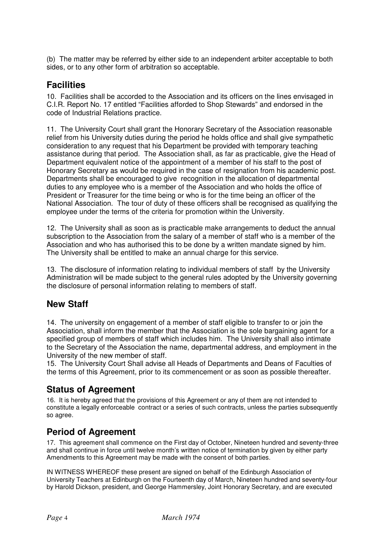(b) The matter may be referred by either side to an independent arbiter acceptable to both sides, or to any other form of arbitration so acceptable.

## **Facilities**

10. Facilities shall be accorded to the Association and its officers on the lines envisaged in C.I.R. Report No. 17 entitled "Facilities afforded to Shop Stewards" and endorsed in the code of Industrial Relations practice.

11. The University Court shall grant the Honorary Secretary of the Association reasonable relief from his University duties during the period he holds office and shall give sympathetic consideration to any request that his Department be provided with temporary teaching assistance during that period. The Association shall, as far as practicable, give the Head of Department equivalent notice of the appointment of a member of his staff to the post of Honorary Secretary as would be required in the case of resignation from his academic post. Departments shall be encouraged to give recognition in the allocation of departmental duties to any employee who is a member of the Association and who holds the office of President or Treasurer for the time being or who is for the time being an officer of the National Association. The tour of duty of these officers shall be recognised as qualifying the employee under the terms of the criteria for promotion within the University.

12. The University shall as soon as is practicable make arrangements to deduct the annual subscription to the Association from the salary of a member of staff who is a member of the Association and who has authorised this to be done by a written mandate signed by him. The University shall be entitled to make an annual charge for this service.

13. The disclosure of information relating to individual members of staff by the University Administration will be made subject to the general rules adopted by the University governing the disclosure of personal information relating to members of staff.

## New Staff

14. The university on engagement of a member of staff eligible to transfer to or join the Association, shall inform the member that the Association is the sole bargaining agent for a specified group of members of staff which includes him. The University shall also intimate to the Secretary of the Association the name, departmental address, and employment in the University of the new member of staff.

15. The University Court Shall advise all Heads of Departments and Deans of Faculties of the terms of this Agreement, prior to its commencement or as soon as possible thereafter.

## Status of Agreement

16. It is hereby agreed that the provisions of this Agreement or any of them are not intended to constitute a legally enforceable contract or a series of such contracts, unless the parties subsequently so agree.

## Period of Agreement

17. This agreement shall commence on the First day of October, Nineteen hundred and seventy-three and shall continue in force until twelve month's written notice of termination by given by either party Amendments to this Agreement may be made with the consent of both parties.

IN WITNESS WHEREOF these present are signed on behalf of the Edinburgh Association of University Teachers at Edinburgh on the Fourteenth day of March, Nineteen hundred and seventy-four by Harold Dickson, president, and George Hammersley, Joint Honorary Secretary, and are executed